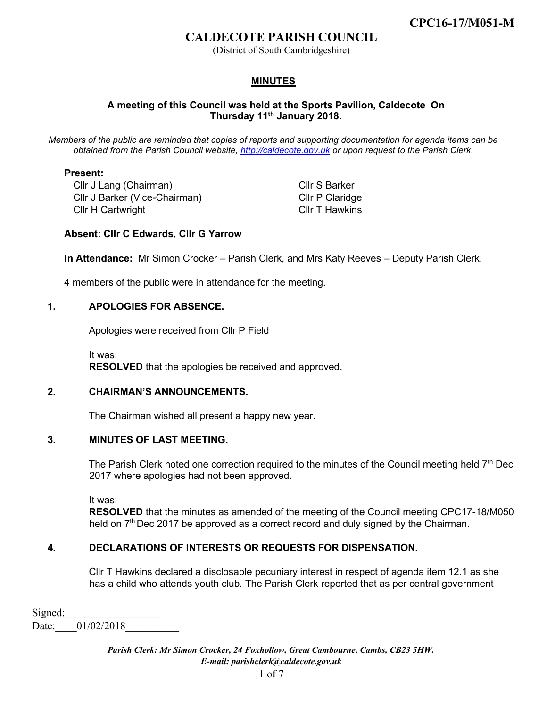(District of South Cambridgeshire)

## **MINUTES**

### **A meeting of this Council was held at the Sports Pavilion, Caldecote On Thursday 11th January 2018.**

*Members of the public are reminded that copies of reports and supporting documentation for agenda items can be obtained from the Parish Council website, [http://caldecote.gov.uk](http://caldecote.gov.uk/) [o](http://caldecote.gov.uk/)r upon request to the Parish Clerk.* 

#### **Present:**

Cllr J Lang (Chairman) Cllr J Barker (Vice-Chairman) Cllr H Cartwright Cllr T Hawkins

Cllr S Barker Cllr P Claridge

#### **Absent: Cllr C Edwards, Cllr G Yarrow**

**In Attendance:** Mr Simon Crocker – Parish Clerk, and Mrs Katy Reeves – Deputy Parish Clerk.

4 members of the public were in attendance for the meeting.

#### **1. APOLOGIES FOR ABSENCE.**

Apologies were received from Cllr P Field

It was: **RESOLVED** that the apologies be received and approved.

#### **2. CHAIRMAN'S ANNOUNCEMENTS.**

The Chairman wished all present a happy new year.

#### **3. MINUTES OF LAST MEETING.**

The Parish Clerk noted one correction required to the minutes of the Council meeting held 7<sup>th</sup> Dec 2017 where apologies had not been approved.

It was:

**RESOLVED** that the minutes as amended of the meeting of the Council meeting CPC17-18/M050 held on 7<sup>th</sup> Dec 2017 be approved as a correct record and duly signed by the Chairman.

### **4. DECLARATIONS OF INTERESTS OR REQUESTS FOR DISPENSATION.**

Cllr T Hawkins declared a disclosable pecuniary interest in respect of agenda item 12.1 as she has a child who attends youth club. The Parish Clerk reported that as per central government

Signed: Date: 01/02/2018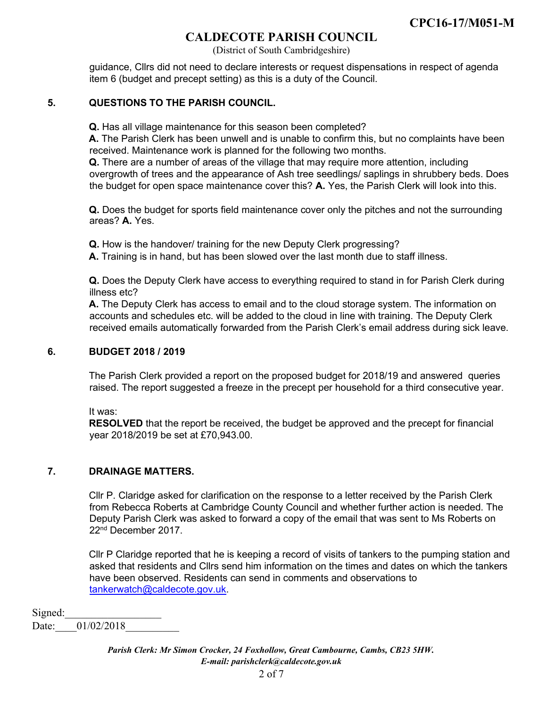(District of South Cambridgeshire)

guidance, Cllrs did not need to declare interests or request dispensations in respect of agenda item 6 (budget and precept setting) as this is a duty of the Council.

### **5. QUESTIONS TO THE PARISH COUNCIL.**

**Q.** Has all village maintenance for this season been completed?

**A.** The Parish Clerk has been unwell and is unable to confirm this, but no complaints have been received. Maintenance work is planned for the following two months.

**Q.** There are a number of areas of the village that may require more attention, including overgrowth of trees and the appearance of Ash tree seedlings/ saplings in shrubbery beds. Does the budget for open space maintenance cover this? **A.** Yes, the Parish Clerk will look into this.

**Q.** Does the budget for sports field maintenance cover only the pitches and not the surrounding areas? **A.** Yes.

**Q.** How is the handover/ training for the new Deputy Clerk progressing?

**A.** Training is in hand, but has been slowed over the last month due to staff illness.

**Q.** Does the Deputy Clerk have access to everything required to stand in for Parish Clerk during illness etc?

**A.** The Deputy Clerk has access to email and to the cloud storage system. The information on accounts and schedules etc. will be added to the cloud in line with training. The Deputy Clerk received emails automatically forwarded from the Parish Clerk's email address during sick leave.

#### **6. BUDGET 2018 / 2019**

The Parish Clerk provided a report on the proposed budget for 2018/19 and answered queries raised. The report suggested a freeze in the precept per household for a third consecutive year.

It was:

**RESOLVED** that the report be received, the budget be approved and the precept for financial year 2018/2019 be set at £70,943.00.

### **7. DRAINAGE MATTERS.**

Cllr P. Claridge asked for clarification on the response to a letter received by the Parish Clerk from Rebecca Roberts at Cambridge County Council and whether further action is needed. The Deputy Parish Clerk was asked to forward a copy of the email that was sent to Ms Roberts on 22nd December 2017.

Cllr P Claridge reported that he is keeping a record of visits of tankers to the pumping station and asked that residents and Cllrs send him information on the times and dates on which the tankers have been observed. Residents can send in comments and observations to tankerwatch@caldecote.gov.uk.

Signed:

Date: 01/02/2018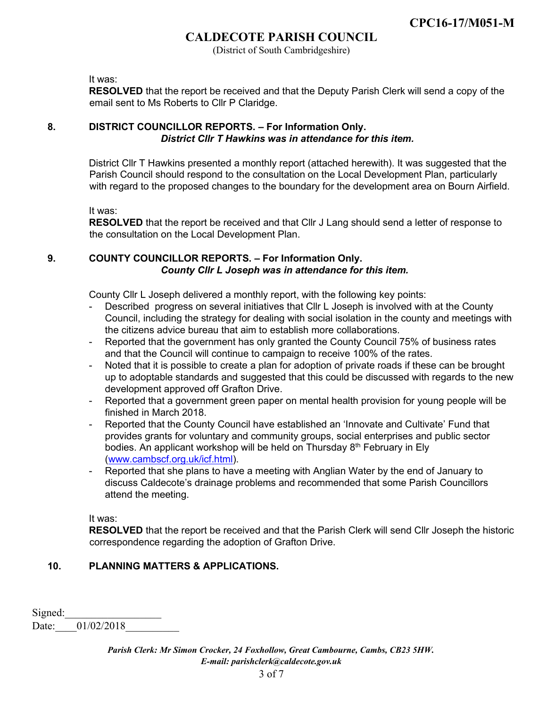(District of South Cambridgeshire)

It was:

**RESOLVED** that the report be received and that the Deputy Parish Clerk will send a copy of the email sent to Ms Roberts to Cllr P Claridge.

# **8. DISTRICT COUNCILLOR REPORTS. – For Information Only.** *District Cllr T Hawkins was in attendance for this item.*

District Cllr T Hawkins presented a monthly report (attached herewith). It was suggested that the Parish Council should respond to the consultation on the Local Development Plan, particularly with regard to the proposed changes to the boundary for the development area on Bourn Airfield.

It was:

**RESOLVED** that the report be received and that Cllr J Lang should send a letter of response to the consultation on the Local Development Plan.

## **9. COUNTY COUNCILLOR REPORTS. – For Information Only.** *County Cllr L Joseph was in attendance for this item.*

County Cllr L Joseph delivered a monthly report, with the following key points:

- Described progress on several initiatives that Cllr L Joseph is involved with at the County Council, including the strategy for dealing with social isolation in the county and meetings with the citizens advice bureau that aim to establish more collaborations.
- Reported that the government has only granted the County Council 75% of business rates and that the Council will continue to campaign to receive 100% of the rates.
- Noted that it is possible to create a plan for adoption of private roads if these can be brought up to adoptable standards and suggested that this could be discussed with regards to the new development approved off Grafton Drive.
- Reported that a government green paper on mental health provision for young people will be finished in March 2018.
- Reported that the County Council have established an 'Innovate and Cultivate' Fund that provides grants for voluntary and community groups, social enterprises and public sector bodies. An applicant workshop will be held on Thursday  $8<sup>th</sup>$  February in Ely [\(www.cambscf.org.uk/icf.html\).](http://www.cambscf.org.uk/icf.html)
- Reported that she plans to have a meeting with Anglian Water by the end of January to discuss Caldecote's drainage problems and recommended that some Parish Councillors attend the meeting.

It was:

**RESOLVED** that the report be received and that the Parish Clerk will send Cllr Joseph the historic correspondence regarding the adoption of Grafton Drive.

# **10. PLANNING MATTERS & APPLICATIONS.**

Signed: Date: 01/02/2018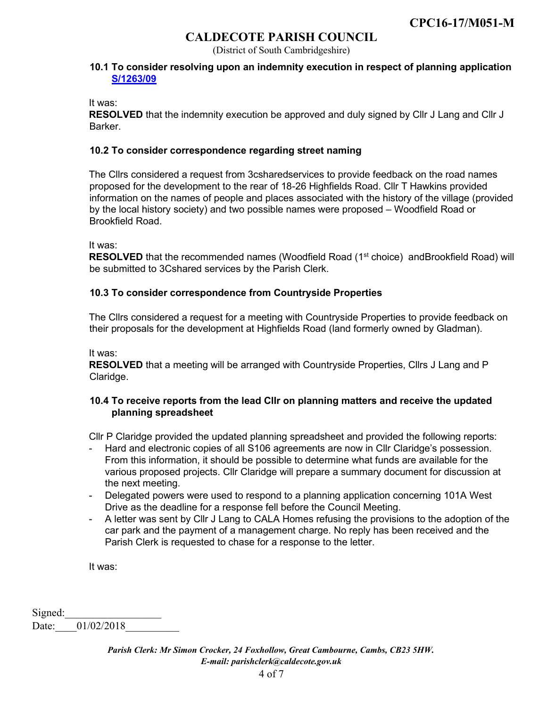(District of South Cambridgeshire)

#### **10.1 To consider resolving upon an indemnity execution in respect of planning application [S/1263/09](http://plan.scambs.gov.uk/swiftlg/apas/run/WPHAPPDETAIL.DisplayUrl?theApnID=S/1263/09/F&theTabNo=3&backURL=%3Ca%20href=wphappcriteria.display?paSearchKey=1390860%3ESearch%20Criteria%3C/a%3E%20%3E%20%3Ca%20href=%27wphappsearchres.displayResultsURL?ResultID=1873533%26StartIndex=1%26SortOrder=rgndat:desc%26DispResultsAs=WPHAPPSEARCHRES%26BackURL=%3Ca%20href=wphappcriteria.display?paSearchKey=1390860%3ESearch%20Criteria%3C/a%3E%27%3ESearch%20Results%3C/a%3E)**

It was:

**RESOLVED** that the indemnity execution be approved and duly signed by Cllr J Lang and Cllr J **Barker** 

#### **10.2 To consider correspondence regarding street naming**

The Cllrs considered a request from 3csharedservices to provide feedback on the road names proposed for the development to the rear of 18-26 Highfields Road. Cllr T Hawkins provided information on the names of people and places associated with the history of the village (provided by the local history society) and two possible names were proposed – Woodfield Road or Brookfield Road.

It was:

**RESOLVED** that the recommended names (Woodfield Road (1<sup>st</sup> choice) andBrookfield Road) will be submitted to 3Cshared services by the Parish Clerk.

### **10.3 To consider correspondence from Countryside Properties**

The Cllrs considered a request for a meeting with Countryside Properties to provide feedback on their proposals for the development at Highfields Road (land formerly owned by Gladman).

It was:

**RESOLVED** that a meeting will be arranged with Countryside Properties, Cllrs J Lang and P Claridge.

### **10.4 To receive reports from the lead Cllr on planning matters and receive the updated planning spreadsheet**

Cllr P Claridge provided the updated planning spreadsheet and provided the following reports:

- Hard and electronic copies of all S106 agreements are now in Cllr Claridge's possession. From this information, it should be possible to determine what funds are available for the various proposed projects. Cllr Claridge will prepare a summary document for discussion at the next meeting.
- Delegated powers were used to respond to a planning application concerning 101A West Drive as the deadline for a response fell before the Council Meeting.
- A letter was sent by Cllr J Lang to CALA Homes refusing the provisions to the adoption of the car park and the payment of a management charge. No reply has been received and the Parish Clerk is requested to chase for a response to the letter.

It was:

Signed: Date: 01/02/2018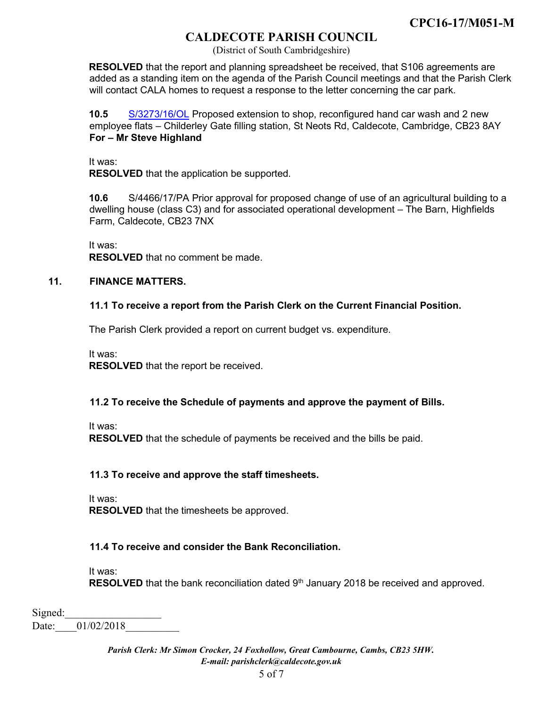(District of South Cambridgeshire)

**RESOLVED** that the report and planning spreadsheet be received, that S106 agreements are added as a standing item on the agenda of the Parish Council meetings and that the Parish Clerk will contact CALA homes to request a response to the letter concerning the car park.

**10.5** [S/3273/16/OL](http://plan.scambs.gov.uk/swiftlg/apas/run/WPHAPPDETAIL.DisplayUrl?theApnID=S/3273/16/OL&theTabNo=3&backURL=%3Ca%20href=wphappcriteria.display?paSearchKey=1449171%3ESearch%20Criteria%3C/a%3E%20%3E%20%3Ca%20href=%27wphappsearchres.displayResultsURL?ResultID=1950314%26StartIndex=1%26SortOrder=rgndat:desc%26DispResultsAs=WPHAPPSEARCHRES%26BackURL=%3Ca%20href=wphappcriteria.display?paSearchKey=1449171%3ESearch%20Criteria%3C/a%3E%27%3ESearch%20Results%3C/a%3E) Proposed extension to shop, reconfigured hand car wash and 2 new employee flats – Childerley Gate filling station, St Neots Rd, Caldecote, Cambridge, CB23 8AY **For – Mr Steve Highland**

It was:

**RESOLVED** that the application be supported.

**10.6** S/4466/17/PA Prior approval for proposed change of use of an agricultural building to a dwelling house (class C3) and for associated operational development – The Barn, Highfields Farm, Caldecote, CB23 7NX

It was:

**RESOLVED** that no comment be made.

## **11. FINANCE MATTERS.**

## **11.1 To receive a report from the Parish Clerk on the Current Financial Position.**

The Parish Clerk provided a report on current budget vs. expenditure.

It was:

**RESOLVED** that the report be received.

### **11.2 To receive the Schedule of payments and approve the payment of Bills.**

It was:

**RESOLVED** that the schedule of payments be received and the bills be paid.

# **11.3 To receive and approve the staff timesheets.**

It was:

**RESOLVED** that the timesheets be approved.

### **11.4 To receive and consider the Bank Reconciliation.**

It was:

**RESOLVED** that the bank reconciliation dated 9<sup>th</sup> January 2018 be received and approved.

Signed: Date: 01/02/2018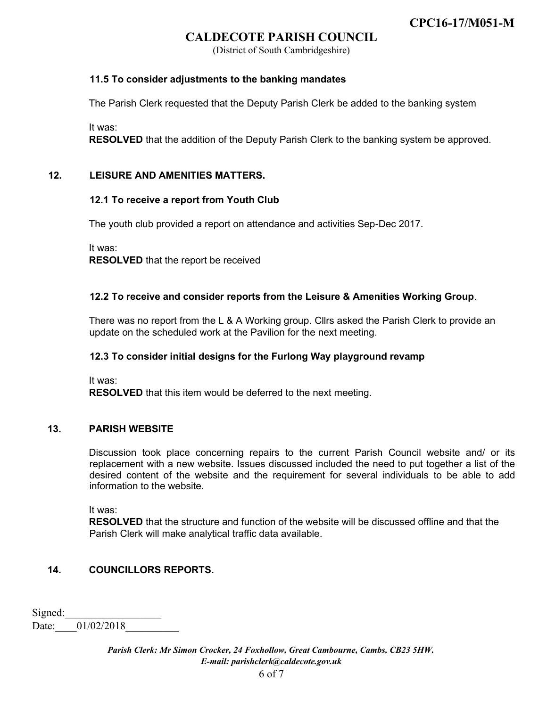(District of South Cambridgeshire)

### **11.5 To consider adjustments to the banking mandates**

The Parish Clerk requested that the Deputy Parish Clerk be added to the banking system

It was:

**RESOLVED** that the addition of the Deputy Parish Clerk to the banking system be approved.

## **12. LEISURE AND AMENITIES MATTERS.**

### **12.1 To receive a report from Youth Club**

The youth club provided a report on attendance and activities Sep-Dec 2017.

It was: **RESOLVED** that the report be received

### **12.2 To receive and consider reports from the Leisure & Amenities Working Group**.

There was no report from the L & A Working group. Cllrs asked the Parish Clerk to provide an update on the scheduled work at the Pavilion for the next meeting.

### **12.3 To consider initial designs for the Furlong Way playground revamp**

It was:

**RESOLVED** that this item would be deferred to the next meeting.

### **13. PARISH WEBSITE**

Discussion took place concerning repairs to the current Parish Council website and/ or its replacement with a new website. Issues discussed included the need to put together a list of the desired content of the website and the requirement for several individuals to be able to add information to the website.

It was:

**RESOLVED** that the structure and function of the website will be discussed offline and that the Parish Clerk will make analytical traffic data available.

# **14. COUNCILLORS REPORTS.**

Signed: Date: 01/02/2018